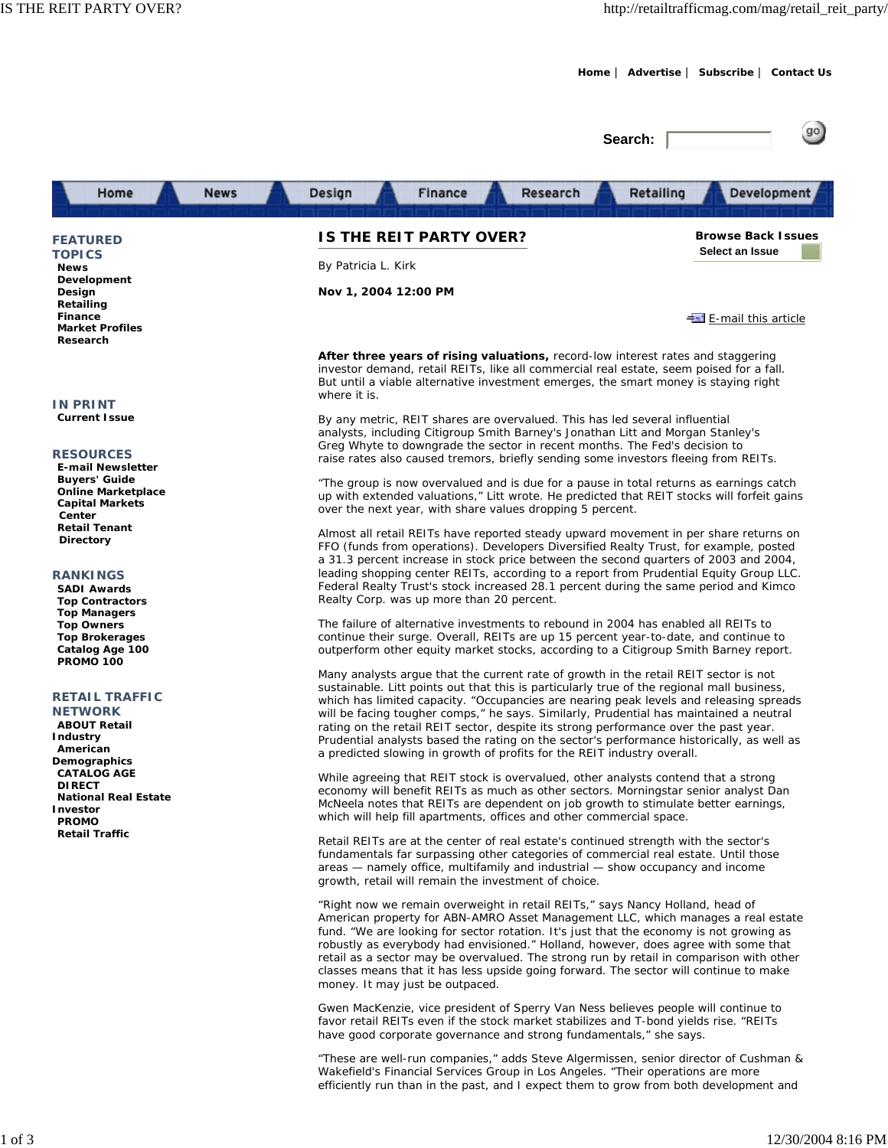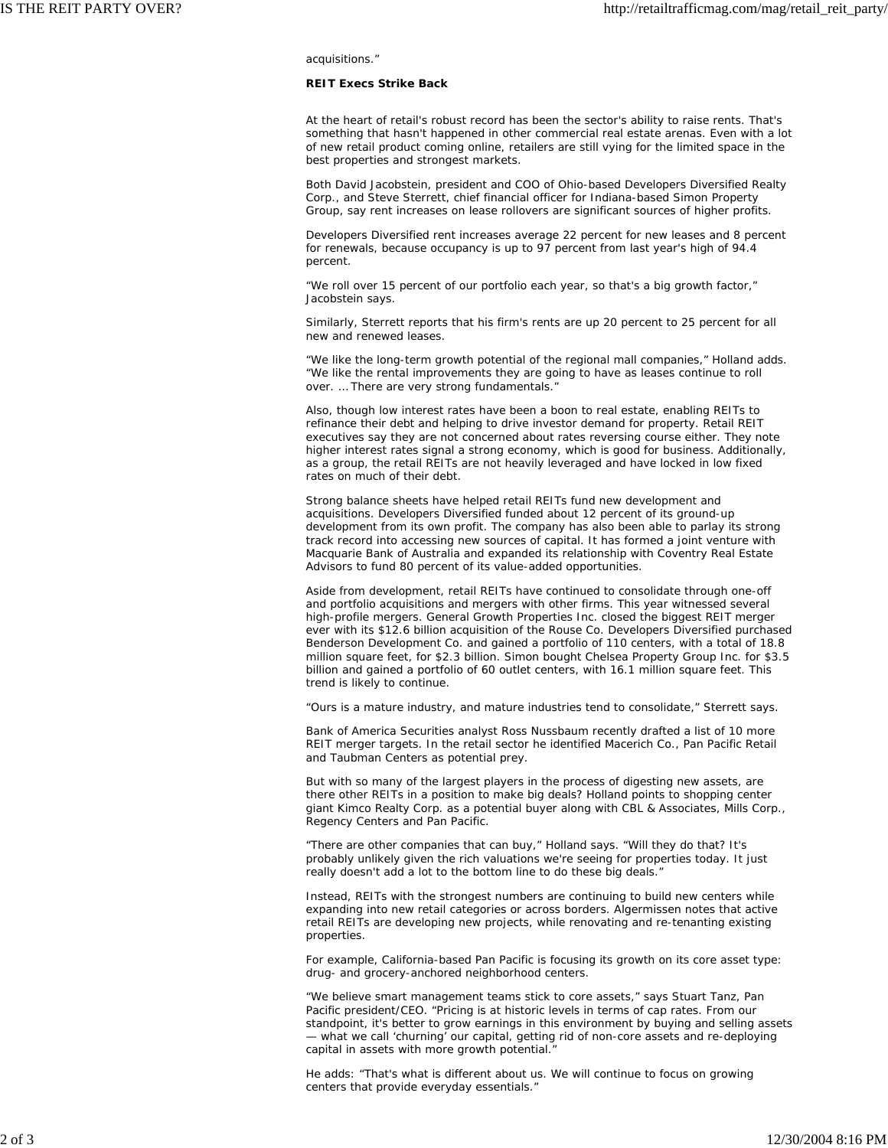acquisitions."

## **REIT Execs Strike Back**

At the heart of retail's robust record has been the sector's ability to raise rents. That's something that hasn't happened in other commercial real estate arenas. Even with a lot of new retail product coming online, retailers are still vying for the limited space in the best properties and strongest markets.

Both David Jacobstein, president and COO of Ohio-based Developers Diversified Realty Corp., and Steve Sterrett, chief financial officer for Indiana-based Simon Property Group, say rent increases on lease rollovers are significant sources of higher profits.

Developers Diversified rent increases average 22 percent for new leases and 8 percent for renewals, because occupancy is up to 97 percent from last year's high of 94.4 percent.

"We roll over 15 percent of our portfolio each year, so that's a big growth factor," Jacobstein says.

Similarly, Sterrett reports that his firm's rents are up 20 percent to 25 percent for all new and renewed leases.

"We like the long-term growth potential of the regional mall companies," Holland adds. "We like the rental improvements they are going to have as leases continue to roll over. … There are very strong fundamentals."

Also, though low interest rates have been a boon to real estate, enabling REITs to refinance their debt and helping to drive investor demand for property. Retail REIT executives say they are not concerned about rates reversing course either. They note higher interest rates signal a strong economy, which is good for business. Additionally, as a group, the retail REITs are not heavily leveraged and have locked in low fixed rates on much of their debt.

Strong balance sheets have helped retail REITs fund new development and acquisitions. Developers Diversified funded about 12 percent of its ground-up development from its own profit. The company has also been able to parlay its strong track record into accessing new sources of capital. It has formed a joint venture with Macquarie Bank of Australia and expanded its relationship with Coventry Real Estate Advisors to fund 80 percent of its value-added opportunities.

Aside from development, retail REITs have continued to consolidate through one-off and portfolio acquisitions and mergers with other firms. This year witnessed several high-profile mergers. General Growth Properties Inc. closed the biggest REIT merger ever with its \$12.6 billion acquisition of the Rouse Co. Developers Diversified purchased Benderson Development Co. and gained a portfolio of 110 centers, with a total of 18.8 million square feet, for \$2.3 billion. Simon bought Chelsea Property Group Inc. for \$3.5 billion and gained a portfolio of 60 outlet centers, with 16.1 million square feet. This trend is likely to continue.

"Ours is a mature industry, and mature industries tend to consolidate," Sterrett says.

Bank of America Securities analyst Ross Nussbaum recently drafted a list of 10 more REIT merger targets. In the retail sector he identified Macerich Co., Pan Pacific Retail and Taubman Centers as potential prey.

But with so many of the largest players in the process of digesting new assets, are there other REITs in a position to make big deals? Holland points to shopping center giant Kimco Realty Corp. as a potential buyer along with CBL & Associates, Mills Corp., Regency Centers and Pan Pacific.

"There are other companies that can buy," Holland says. "Will they do that? It's probably unlikely given the rich valuations we're seeing for properties today. It just really doesn't add a lot to the bottom line to do these big deals."

Instead, REITs with the strongest numbers are continuing to build new centers while expanding into new retail categories or across borders. Algermissen notes that active retail REITs are developing new projects, while renovating and re-tenanting existing properties.

For example, California-based Pan Pacific is focusing its growth on its core asset type: drug- and grocery-anchored neighborhood centers.

"We believe smart management teams stick to core assets," says Stuart Tanz, Pan Pacific president/CEO. "Pricing is at historic levels in terms of cap rates. From our standpoint, it's better to grow earnings in this environment by buying and selling assets — what we call 'churning' our capital, getting rid of non-core assets and re-deploying capital in assets with more growth potential."

He adds: "That's what is different about us. We will continue to focus on growing centers that provide everyday essentials."